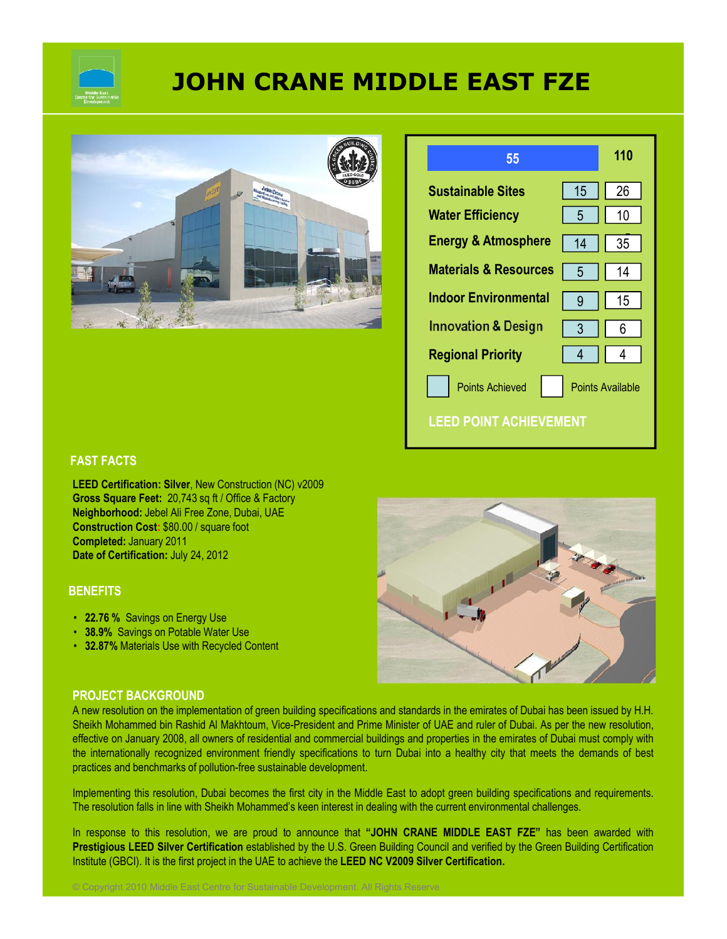

# **JOHN CRANE MIDDLE EAST FZE**





#### **FAST FACTS**

**LEED Certification: Silver**, New Construction (NC) v2009 **Gross Square Feet:** 20,743 sq ft / Office & Factory **Neighborhood:** Jebel Ali Free Zone, Dubai, UAE **Construction Cost:** \$80.00 / square foot **Completed:** January 2011 **Date of Certification:** July 24, 2012

#### **BENEFITS**

- **22.76 %** Savings on Energy Use
- **38.9%** Savings on Potable Water Use
- **32.87%** Materials Use with Recycled Content



#### **PROJECT BACKGROUND**

A new resolution on the implementation of green building specifications and standards in the emirates of Dubai has been issued by H.H. Sheikh Mohammed bin Rashid Al Makhtoum, Vice-President and Prime Minister of UAE and ruler of Dubai. As per the new resolution, effective on January 2008, all owners of residential and commercial buildings and properties in the emirates of Dubai must comply with the internationally recognized environment friendly specifications to turn Dubai into a healthy city that meets the demands of best practices and benchmarks of pollution-free sustainable development.

Implementing this resolution, Dubai becomes the first city in the Middle East to adopt green building specifications and requirements. The resolution falls in line with Sheikh Mohammed's keen interest in dealing with the current environmental challenges.

In response to this resolution, we are proud to announce that **"JOHN CRANE MIDDLE EAST FZE"** has been awarded with **Prestigious LEED Silver Certification** established by the U.S. Green Building Council and verified by the Green Building Certification Institute (GBCI). It is the first project in the UAE to achieve the **LEED NC V2009 Silver Certification.**

© Copyright 2010 Middle East Centre for Sustainable Development. All Rights Reserve